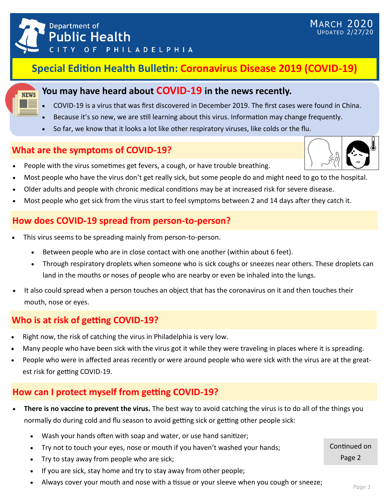

# **Special Edition Health Bulletin: Coronavirus Disease 2019 (COVID-19)**

#### **You may have heard about COVID-19 in the news recently.**

- COVID-19 is a virus that was first discovered in December 2019. The first cases were found in China.
- Because it's so new, we are still learning about this virus. Information may change frequently.
- So far, we know that it looks a lot like other respiratory viruses, like colds or the flu.

### **What are the symptoms of COVID-19?**

- People with the virus sometimes get fevers, a cough, or have trouble breathing.
- Most people who have the virus don't get really sick, but some people do and might need to go to the hospital.
- Older adults and people with chronic medical conditions may be at increased risk for severe disease.
- Most people who get sick from the virus start to feel symptoms between 2 and 14 days after they catch it.

#### **How does COVID-19 spread from person-to-person?**

- This virus seems to be spreading mainly from person-to-person.
	- Between people who are in close contact with one another (within about 6 feet).
	- Through respiratory droplets when someone who is sick coughs or sneezes near others. These droplets can land in the mouths or noses of people who are nearby or even be inhaled into the lungs.
- It also could spread when a person touches an object that has the coronavirus on it and then touches their mouth, nose or eyes.

# **Who is at risk of getting COVID-19?**

- Right now, the risk of catching the virus in Philadelphia is very low.
- Many people who have been sick with the virus got it while they were traveling in places where it is spreading.
- People who were in affected areas recently or were around people who were sick with the virus are at the greatest risk for getting COVID-19.

#### **How can I protect myself from getting COVID-19?**

- **There is no vaccine to prevent the virus.** The best way to avoid catching the virus is to do all of the things you normally do during cold and flu season to avoid getting sick or getting other people sick:
	- Wash your hands often with soap and water, or use hand sanitizer;
	- Try not to touch your eyes, nose or mouth if you haven't washed your hands;
	- Try to stay away from people who are sick;
	- If you are sick, stay home and try to stay away from other people;
	- Always cover your mouth and nose with a tissue or your sleeve when you cough or sneeze;



MARCH 2020 UPDATED 2/27/20